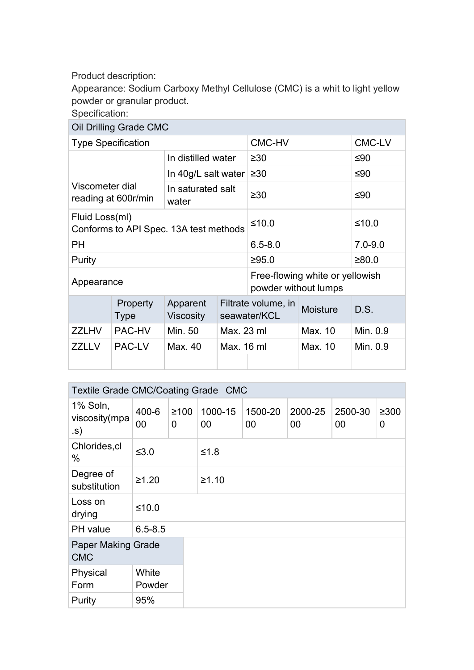Product description:

Appearance: Sodium Carboxy Methyl Cellulose (CMC) is a whit to light yellow powder or granular product.

Specification:

| Oil Drilling Grade CMC                 |                         |                                        |                                                         |                                     |                 |             |  |  |
|----------------------------------------|-------------------------|----------------------------------------|---------------------------------------------------------|-------------------------------------|-----------------|-------------|--|--|
| <b>Type Specification</b>              |                         |                                        |                                                         | CMC-HV                              |                 | CMC-LV      |  |  |
| Viscometer dial<br>reading at 600r/min |                         | In distilled water                     |                                                         | $\geq 30$                           |                 | ≤ $90$      |  |  |
|                                        |                         | In 40g/L salt water                    |                                                         | $\geq 30$                           |                 | ≤ $90$      |  |  |
|                                        |                         | In saturated salt<br>water             |                                                         | $\geq 30$                           |                 | ≤90         |  |  |
| Fluid Loss(ml)                         |                         | Conforms to API Spec. 13A test methods | ≤10.0                                                   |                                     | ≤10.0           |             |  |  |
| <b>PH</b>                              |                         |                                        |                                                         | $6.5 - 8.0$                         |                 | $7.0 - 9.0$ |  |  |
| Purity                                 |                         |                                        | ≥95.0                                                   |                                     | ≥80.0           |             |  |  |
| Appearance                             |                         |                                        | Free-flowing white or yellowish<br>powder without lumps |                                     |                 |             |  |  |
|                                        | <b>Property</b><br>Type | Apparent<br><b>Viscosity</b>           |                                                         | Filtrate volume, in<br>seawater/KCL | <b>Moisture</b> | D.S.        |  |  |
| <b>ZZLHV</b>                           | PAC-HV                  | Min. 50                                | Max. 23 ml                                              |                                     | Max. 10         | Min. 0.9    |  |  |
| <b>ZZLLV</b>                           | PAC-LV                  | Max. 40                                | Max. 16 ml                                              |                                     | Max. 10         | Min. 0.9    |  |  |
|                                        |                         |                                        |                                                         |                                     |                 |             |  |  |

| Textile Grade CMC/Coating Grade CMC     |                 |                     |               |                   |               |               |                           |  |  |
|-----------------------------------------|-----------------|---------------------|---------------|-------------------|---------------|---------------|---------------------------|--|--|
| 1% Soln,<br>viscosity(mpa<br>s)         | 400-6<br>00     | ≥100<br>$\mathbf 0$ | 1000-15<br>00 | 1500-20<br>$00\,$ | 2000-25<br>00 | 2500-30<br>00 | $\geq 300$<br>$\mathbf 0$ |  |  |
| Chlorides, cl<br>%                      | $≤3.0$          |                     | $≤1.8$        |                   |               |               |                           |  |  |
| Degree of<br>substitution               | ≥1.20           |                     | ≥1.10         |                   |               |               |                           |  |  |
| Loss on<br>drying                       | $≤10.0$         |                     |               |                   |               |               |                           |  |  |
| PH value<br>$6.5 - 8.5$                 |                 |                     |               |                   |               |               |                           |  |  |
| <b>Paper Making Grade</b><br><b>CMC</b> |                 |                     |               |                   |               |               |                           |  |  |
| Physical<br>Form                        | White<br>Powder |                     |               |                   |               |               |                           |  |  |
| 95%<br>Purity                           |                 |                     |               |                   |               |               |                           |  |  |